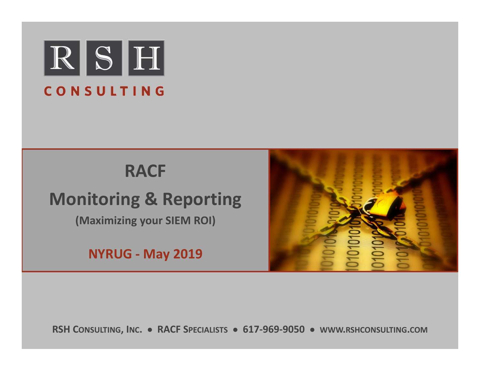

# **RACF**

# **Monitoring & Reporting**

**(Maximizing your SIEM ROI)**

**NYRUG ‐ May 2019**



**RSH CONSULTING, INC. RACF SPECIALISTS 617‐969‐9050 WWW.RSHCONSULTING.COM**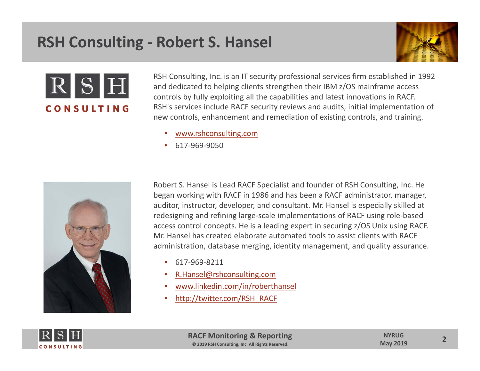#### **RSH Consulting ‐ Robert S. Hansel**





RSH Consulting, Inc. is an IT security professional services firm established in 1992 and dedicated to helping clients strengthen their IBM z/OS mainframe access controls by fully exploiting all the capabilities and latest innovations in RACF. RSH's services include RACF security reviews and audits, initial implementation of new controls, enhancement and remediation of existing controls, and training.

- •www.rshconsulting.com
- •617‐969‐9050



Robert S. Hansel is Lead RACF Specialist and founder of RSH Consulting, Inc. He began working with RACF in 1986 and has been <sup>a</sup> RACF administrator, manager, auditor, instructor, developer, and consultant. Mr. Hansel is especially skilled at redesigning and refining large‐scale implementations of RACF using role‐based access control concepts. He is <sup>a</sup> leading expert in securing z/OS Unix using RACF. Mr. Hansel has created elaborate automated tools to assist clients with RACF administration, database merging, identity management, and quality assurance.

- •617‐969‐8211
- •R.Hansel@rshconsulting.com
- •www.linkedin.com/in/roberthansel
- •http://twitter.com/RSH\_RACF

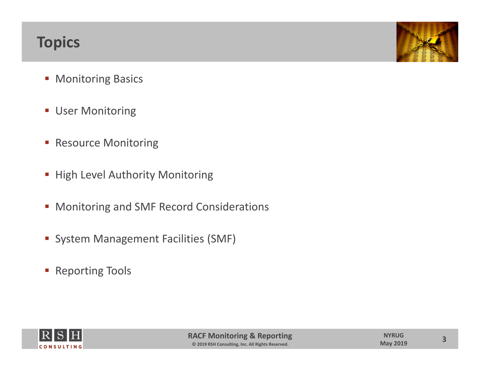#### **Topics**



- **Monitoring Basics**
- **User Monitoring**
- **Resource Monitoring**
- **High Level Authority Monitoring**
- **Monitoring and SMF Record Considerations**
- **System Management Facilities (SMF)**
- **Reporting Tools**

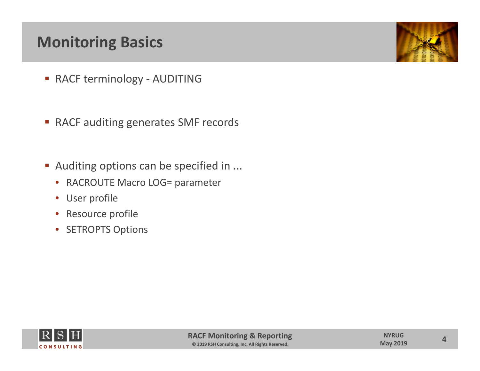## **Monitoring Basics**

- RACF terminology AUDITING
- RACF auditing generates SMF records
- Auditing options can be specified in ...
	- RACROUTE Macro LOG= parameter
	- User profile
	- $\bullet$ Resource profile
	- $\bullet$ • SETROPTS Options





**4**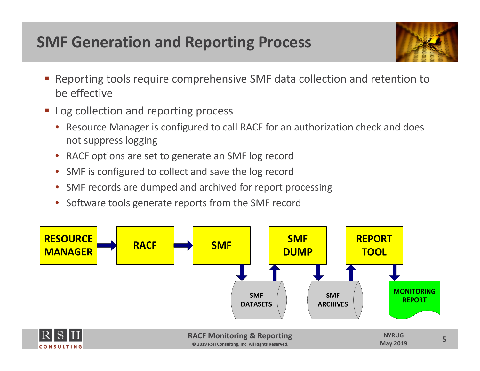## **SMF Generation and Reporting Process**



- Reporting tools require comprehensive SMF data collection and retention to be effective
- **Log collection and reporting process** 
	- Resource Manager is configured to call RACF for an authorization check and does not suppress logging
	- •RACF options are set to generate an SMF log record
	- •SMF is configured to collect and save the log record
	- •SMF records are dumped and archived for report processing
	- Software tools generate reports from the SMF record

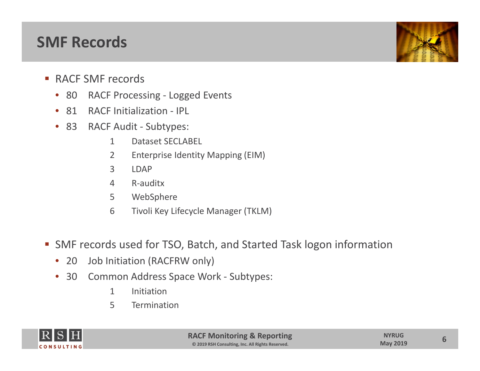#### **SMF Records**

- RACF SMF records
	- 80 RACF Processing Logged Events
	- 81 RACF Initialization IPL
	- 83 RACF Audit ‐ Subtypes:
		- 1Dataset SECLABEL
		- 2 Enterprise Identity Mapping (EIM)
		- 3 LDAP
		- 4 R‐auditx
		- 5 WebSphere
		- 6 Tivoli Key Lifecycle Manager (TKLM)
- SMF records used for TSO, Batch, and Started Task logon information
	- 20 Job Initiation (RACFRW only)
	- $\bullet$ ● 30 Common Address Space Work - Subtypes:
		- 1 Initiation
		- 5 Termination

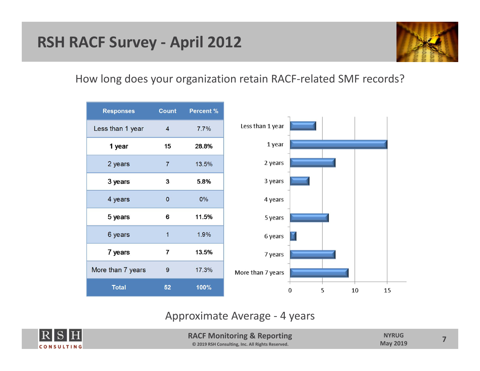#### **RSH RACF Survey ‐ April 2012**



#### How long does your organization retain RACF‐related SMF records?



#### Approximate Average ‐ 4 years



**RACF Monitoring & Reporting © 2019 RSH Consulting, Inc. All Rights Reserved.**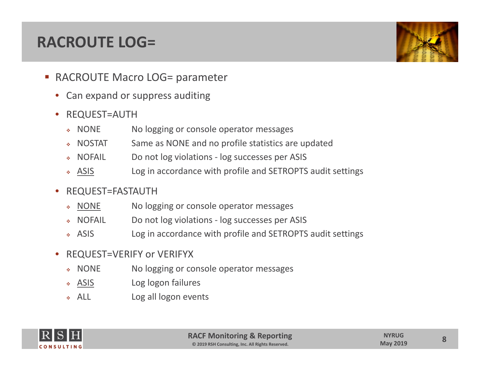#### **RACROUTE LOG=**



- RACROUTE Macro LOG= parameter
	- •• Can expand or suppress auditing
	- • REQUEST=AUTH
		- $\bullet$  NONE No logging or console operator messages
		- $\bullet$  NOSTAT Same as NONE and no profile statistics are updated
		- $\mathcal{L}_{\text{eff}}$ NOFAIL Do not log violations ‐ log successes per ASIS
		- $\cdot$  ASIS Log in accordance with profile and SETROPTS audit settings
	- $\bullet$  REQUEST=FASTAUTH
		- \* NONE No logging or console operator messages
		- $\bullet$  NOFAIL Do not log violations - log successes per ASIS
		- $\triangle$  ASIS Log in accordance with profile and SETROPTS audit settings
	- • REQUEST=VERIFY or VERIFYX
		- « NONE No logging or console operator messages
		- \* ASIS Log logon failures
		- $\div$  ALL Log all logon events

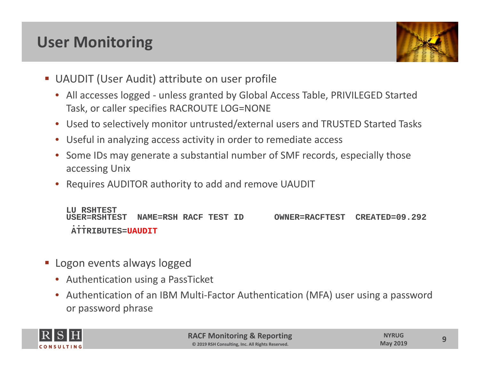# **User Monitoring**



- UAUDIT (User Audit) attribute on user profile
	- All accesses logged ‐ unless granted by Global Access Table, PRIVILEGED Started Task, or caller specifies RACROUTE LOG=NONE
	- Used to selectively monitor untrusted/external users and TRUSTED Started Tasks
	- •Useful in analyzing access activity in order to remediate access
	- •• Some IDs may generate a substantial number of SMF records, especially those accessing Unix
	- •Requires AUDITOR authority to add and remove UAUDIT

**LU RSHTESTUSER=RSHTEST NAME=RSH RACF TEST ID OWNER=RACFTEST CREATED=09.292 ...ATTRIBUTES=UAUDIT**

- **Logon events always logged** 
	- Authentication using <sup>a</sup> PassTicket
	- Authentication of an IBM Multi‐Factor Authentication (MFA) user using <sup>a</sup> password or password phrase

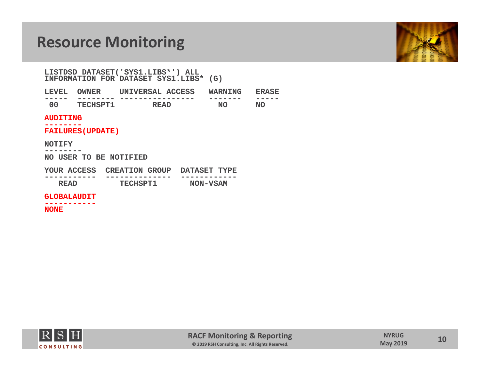

**LISTDSD DATASET('SYS1.LIBS\*') ALL INFORMATION FOR DATASET SYS1.LIBS\* (G)**

| <b>LEVEL</b> | OWNER     | UNIVERSAL ACCESS | WARNING |        |
|--------------|-----------|------------------|---------|--------|
| ------       | --------- | ---------------- | ------- | ------ |
|              | TECHSPT1  | הגסס             | NO      | NO     |

#### **AUDITING**

**--------**

**FAILURES(UPDATE)**

#### **NOTIFY**

**--------**

**NO USER TO BE NOTIFIED**

| YOUR ACCESS | <b>CREATION GROUP</b> | <b>DATASET TYPE</b> |  |  |
|-------------|-----------------------|---------------------|--|--|
| ----------- | ------------          | -----------         |  |  |
| <b>READ</b> | <b>TECHSPT1</b>       | NON-VSAM            |  |  |

**GLOBALAUDIT**

**-----------**

**NONE**

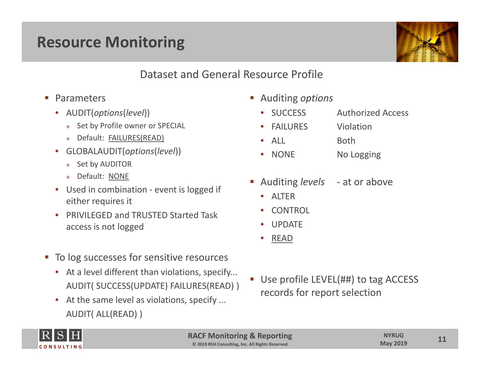

Dataset and General Resource Profile

- **Parameters** 
	- AUDIT(*options*(*level*))
		- \* Set by Profile owner or SPECIAL
		- Default: FAILURES(READ)
	- • GLOBALAUDIT(*options*(*level*))
		- $\bullet$  Set by AUDITOR
		- Default: NONE
	- •● Used in combination - event is logged if either requires it
	- $\bullet$  PRIVILEGED and TRUSTED Started Task access is not logged
- **To log successes for sensitive resources** 
	- At a level different than violations, specify... AUDIT( SUCCESS(UPDATE) FAILURES(READ) )
	- At the same level as violations, specify ... AUDIT( ALL(READ) )
- Auditing *options*
	- •SUCCESS Authorized Access
	- •FAILURES Violation
	- •ALL Both
	- NONE NoNo Logging
- П Auditing *levels* ‐ at or above
	- ALTER
	- •CONTROL
	- •UPDATE
	- •READ
- Use profile LEVEL(##) to tag ACCESS records for report selection



**RACF Monitoring & Reporting © 2019 RSH Consulting, Inc. All Rights Reserved.**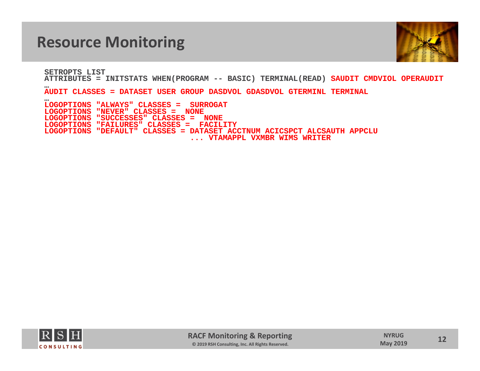

**SETROPTS LISTATTRIBUTES = INITSTATS WHEN(PROGRAM -- BASIC) TERMINAL(READ) SAUDIT CMDVIOL OPERAUDIT**

**AUDIT CLASSES = DATASET USER GROUP DASDVOL GDASDVOL GTERMINL TERMINAL**

 **LOGOPTIONS "ALWAYS" CLASSES = SURROGATLOGOPTIONS "NEVER" CLASSES = NONELOGOPTIONS "SUCCESSES" CLASSES = NONE LOGOPTIONS "FAILURES" CLASSES = FACILITY LOGOPTIONS "DEFAULT" CLASSES = DATASET ACCTNUM ACICSPCT ALCSAUTH APPCLU ... VTAMAPPL VXMBR WIMS WRITER**



**…**

**…**

**12**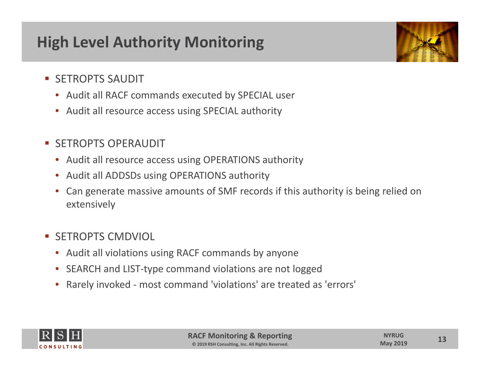# **High Level Authority Monitoring**



- **SETROPTS SAUDIT** 
	- Audit all RACF commands executed by SPECIAL user
	- Audit all resource access using SPECIAL authority
- **SETROPTS OPERAUDIT** 
	- Audit all resource access using OPERATIONS authority
	- •• Audit all ADDSDs using OPERATIONS authority
	- • Can generate massive amounts of SMF records if this authority is being relied on extensively
- **SETROPTS CMDVIOL** 
	- Audit all violations using RACF commands by anyone
	- •● SEARCH and LIST-type command violations are not logged
	- •Rarely invoked ‐ most command 'violations' are treated as 'errors'



**13**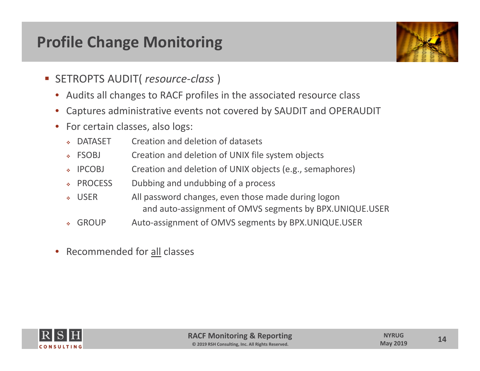## **Profile Change Monitoring**



- SETROPTS AUDIT( *resource‐class* )
	- Audits all changes to RACF profiles in the associated resource class
	- •Captures administrative events not covered by SAUDIT and OPERAUDIT
	- •• For certain classes, also logs:
		- ٠ DATASET Creation and deletion of datasets
		- $\div$  FSOBJ Creation and deletion of UNIX file system objects
		- $\cdot$  IPCOBJ Creation and deletion of UNIX objects (e.g., semaphores)
		- ◈ PROCESS Dubbing and undubbing of a process
		- $\bullet$  USFR All password changes, even those made during logon and auto‐assignment of OMVS segments by BPX.UNIQUE.USER
		- ↓ GROUP Auto-assignment of OMVS segments by BPX.UNIQUE.USER
	- •• Recommended for all classes

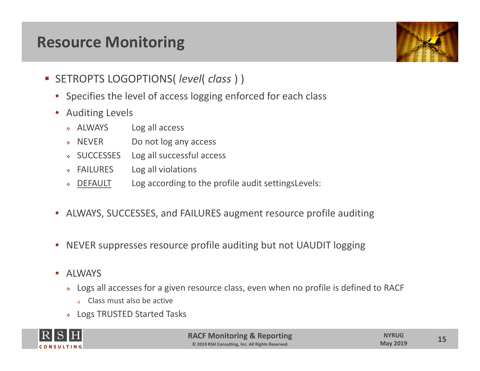

- SETROPTS LOGOPTIONS( *level*( *class* ) )
	- Specifies the level of access logging enforced for each class
	- • Auditing Levels
		- \* ALWAYS Log all access
		- $\bullet$  NEVER Do not log any access
		- SUCCESSES Log all successful access
		- FAILURES Log all violations
		- ◈ DEFAULT Log according to the profile audit settingsLevels:
	- ALWAYS, SUCCESSES, and FAILURES augment resource profile auditing
	- •NEVER suppresses resource profile auditing but not UAUDIT logging
	- ALWAYS
		- Logs all accesses for <sup>a</sup> given resource class, even when no profile is defined to RACF
			- **Class must also be active**
		- Logs TRUSTED Started Tasks

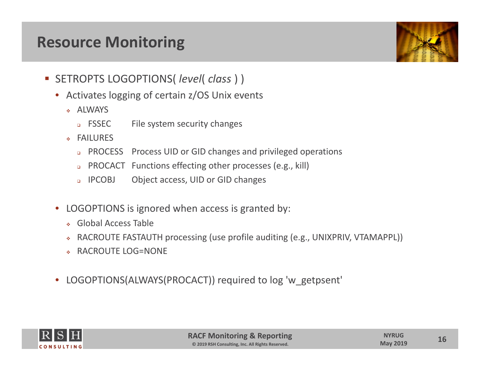

- SETROPTS LOGOPTIONS( *level*( *class* ) )
	- Activates logging of certain z/OS Unix events
		- ALWAYS
			- **D** FSSEC File system security changes
		- FAILURES
			- □ PROCESS Process UID or GID changes and privileged operations
			- PROCACT Functions effecting other processes (e.g., kill)
			- a **IPCOBJ** Object access, UID or GID changes
	- $\bullet$  LOGOPTIONS is ignored when access is granted by:
		- Global Access Table
		- ٠ RACROUTE FASTAUTH processing (use profile auditing (e.g., UNIXPRIV, VTAMAPPL))
		- RACROUTE LOG=NONE
	- LOGOPTIONS(ALWAYS(PROCACT)) required to log 'w\_getpsent'



**16**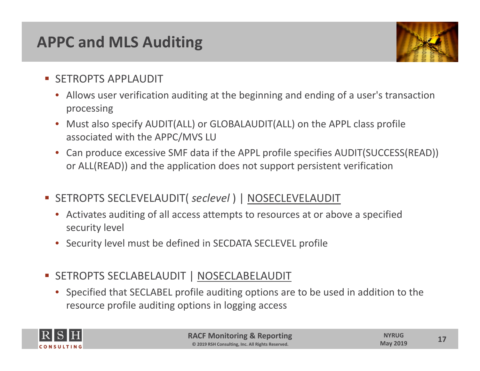#### **APPC and MLS Auditing**



- **SETROPTS APPLAUDIT** 
	- Allows user verification auditing at the beginning and ending of <sup>a</sup> user's transaction processing
	- Must also specify AUDIT(ALL) or GLOBALAUDIT(ALL) on the APPL class profile associated with the APPC/MVS LU
	- Can produce excessive SMF data if the APPL profile specifies AUDIT(SUCCESS(READ)) or ALL(READ)) and the application does not support persistent verification
- SETROPTS SECLEVELAUDIT( *seclevel* ) | NOSECLEVELAUDIT
	- Activates auditing of all access attempts to resources at or above <sup>a</sup> specified security level
	- •Security level must be defined in SECDATA SECLEVEL profile
- SETROPTS SECLABELAUDIT | NOSECLABELAUDIT
	- Specified that SECLABEL profile auditing options are to be used in addition to the resource profile auditing options in logging access

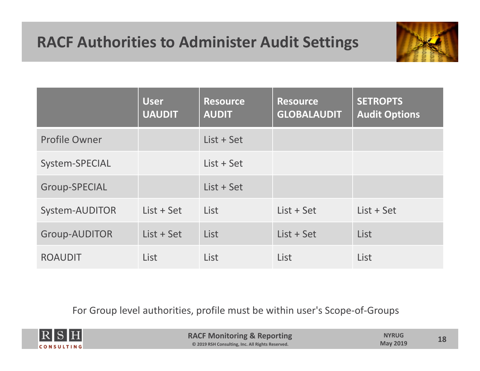# **RACF Authorities to Administer Audit Settings**



|                      | <b>User</b><br><b>UAUDIT</b> | <b>Resource</b><br><b>AUDIT</b> | <b>Resource</b><br><b>GLOBALAUDIT</b> | <b>SETROPTS</b><br><b>Audit Options</b> |
|----------------------|------------------------------|---------------------------------|---------------------------------------|-----------------------------------------|
| <b>Profile Owner</b> |                              | $List + Set$                    |                                       |                                         |
| System-SPECIAL       |                              | $List + Set$                    |                                       |                                         |
| <b>Group-SPECIAL</b> |                              | List + Set                      |                                       |                                         |
| System-AUDITOR       | $List + Set$                 | List                            | $List + Set$                          | List + Set                              |
| <b>Group-AUDITOR</b> | List + Set                   | List                            | List + Set                            | List                                    |
| <b>ROAUDIT</b>       | List                         | List                            | List                                  | List                                    |

For Group level authorities, profile must be within user's Scope‐of‐Groups

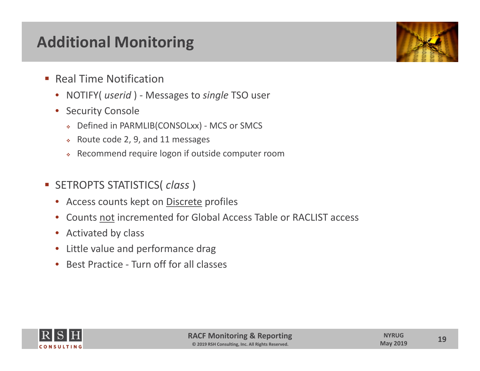## **Additional Monitoring**

- **Real Time Notification** 
	- •NOTIFY( *userid* ) ‐ Messages to *single* TSO user
	- • Security Console
		- Defined in PARMLIB(CONSOLxx) ‐ MCS or SMCS
		- $\hat{Q}^{\mu\nu}_{\mu\nu}$ Route code 2, 9, and 11 messages
		- $\mathcal{L}^{\mathcal{L}}$ Recommend require logon if outside computer room
- SETROPTS STATISTICS( *class* )
	- Access counts kept on Discrete profiles
	- $\bullet$ Counts not incremented for Global Access Table or RACLIST access
	- Activated by class
	- •Little value and performance drag
	- $\bullet$ ● Best Practice - Turn off for all classes



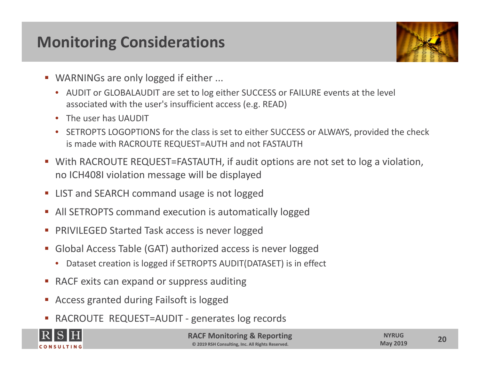## **Monitoring Considerations**



- WARNINGs are only logged if either ...
	- AUDIT or GLOBALAUDIT are set to log either SUCCESS or FAILURE events at the level associated with the user's insufficient access (e.g. READ)
	- The user has UAUDIT
	- SETROPTS LOGOPTIONS for the class is set to either SUCCESS or ALWAYS, provided the check is made with RACROUTE REQUEST=AUTH and not FASTAUTH
- With RACROUTE REQUEST=FASTAUTH, if audit options are not set to log <sup>a</sup> violation, no ICH408I violation message will be displayed
- **EXA** LIST and SEARCH command usage is not logged
- All SETROPTS command execution is automatically logged
- **PRIVILEGED Started Task access is never logged**
- Global Access Table (GAT) authorized access is never logged
	- Dataset creation is logged if SETROPTS AUDIT(DATASET) is in effect
- **RACF** exits can expand or suppress auditing
- **Access granted during Failsoft is logged**
- П ■ RACROUTE REQUEST=AUDIT - generates log records



**RACF Monitoring & Reporting © 2019 RSH Consulting, Inc. All Rights Reserved.**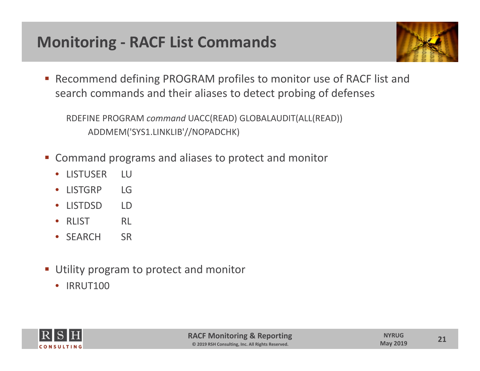# **Monitoring ‐ RACF List Commands**



■ Recommend defining PROGRAM profiles to monitor use of RACF list and search commands and their aliases to detect probing of defenses

RDEFINE PROGRAM *command* UACC(READ) GLOBALAUDIT(ALL(READ)) ADDMEM('SYS1.LINKLIB'//NOPADCHK)

- Command programs and aliases to protect and monitor
	- $\bullet$ LISTUSER LU
	- •LISTGRP LG
	- •LISTDSD LD
	- $\bullet$ RLIST RI
	- SEARCH SR
- **Utility program to protect and monitor** 
	- IRRUT100

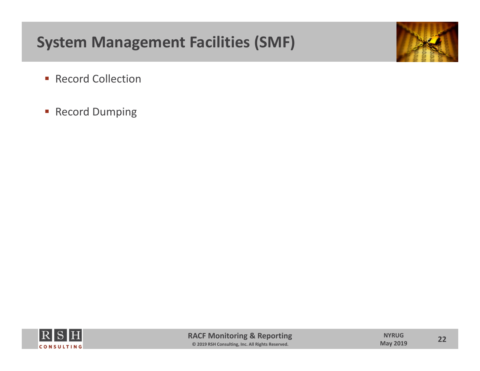# **System Management Facilities (SMF)**



- **Record Collection**
- **Record Dumping**

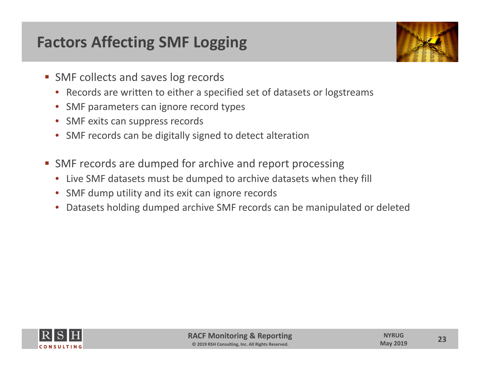# **Factors Affecting SMF Logging**



- **SMF collects and saves log records** 
	- Records are written to either <sup>a</sup> specified set of datasets or logstreams
	- SMF parameters can ignore record types
	- •• SMF exits can suppress records
	- SMF records can be digitally signed to detect alteration
- **SMF records are dumped for archive and report processing** 
	- Live SMF datasets must be dumped to archive datasets when they fill
	- SMF dump utility and its exit can ignore records
	- $\bullet$ Datasets holding dumped archive SMF records can be manipulated or deleted



**23**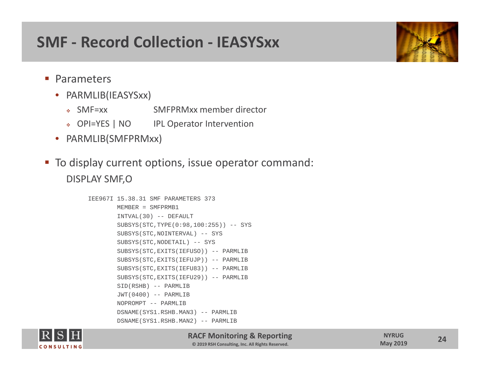#### **SMF ‐ Record Collection ‐ IEASYSxx**

- **Parameters** 
	- PARMLIB(IEASYSxx)
		- SMF=xx SMFPRMxx member director
		- OPI=YES | NO IPL Operator Intervention
	- PARMLIB(SMFPRMxx)
- To display current options, issue operator command: DISPLAY SMF,O

```
IEE967I 15.38.31 SMF PARAMETERS 373 MEMBER = SMFPRMB1 INTVAL(30) -- DEFAULT 
        SUBSYS(STC,TYPE(0:98,100:255)) -- SYS 
        SUBSYS(STC,NOINTERVAL) -- SYS 
        SUBSYS(STC,NODETAIL) -- SYS 
        SUBSYS(STC,EXITS(IEFUSO)) -- PARMLIB
        SUBSYS(STC,EXITS(IEFUJP)) -- PARMLIB
        SUBSYS(STC,EXITS(IEFU83)) -- PARMLIB
        SUBSYS(STC,EXITS(IEFU29)) -- PARMLIB
        SID(RSHB) -- PARMLIB 
        JWT(0400) -- PARMLIB 
        NOPROMPT -- PARMLIB DSNAME(SYS1.RSHB.MAN3) -- PARMLIB 
        DSNAME(SYS1.RSHB.MAN2) -- PARMLIB
```


**RACF Monitoring & Reporting © 2019 RSH Consulting, Inc. All Rights Reserved.**

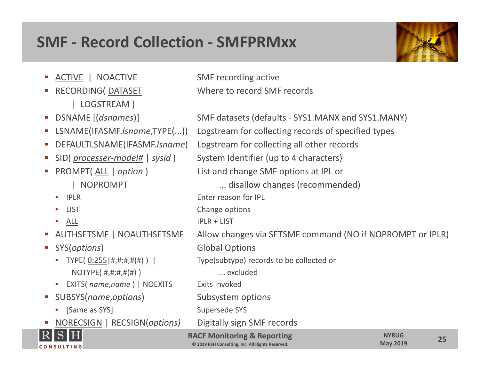#### **SMF ‐ Record Collection ‐ SMFPRMxx**

- **ACTIVE** | NOACTIVE SMF recording active
- | LOGSTREAM )
- **DSNAME**
- 
- 
- SID(processer-model# | sysid)
- PROMPT(ALL | option)
	- •
	- •
	- •ALL
- **AUTHSETSMF**
- - TYPE( $0:255|########$ ) | NOTYPE( $\#$ , $\#$ : $\#$ , $\#$ ( $\#$ )) ... excluded
	- EXITS( *name,name* ) | NOEXITS Exits invoked
- SUBSYS(*name,options*) Subsystem options
	-
- П NORECSIGN | RECSIGN(*options)* Digitally sign SMF records



**RACF Monitoring & Reporting © 2019 RSH Consulting, Inc. All Rights Reserved. 25 NYRUG May <sup>2019</sup>** [(*dsnames*)] SMF datasets (defaults ‐ SYS1.MANX and SYS1.MANY) LSNAME(IFASMF.*lsname*,TYPE(...)) Logstream for collecting records of specified types DEFAULTLSNAME(IFASMF.*lsname*) Logstream for collecting all other records System Identifier (up to 4 characters) List and change SMF options at IPL or | NOPROMPT ... disallow changes (recommended) • IPLR Enter reason for IPL LIST Change options  $IPIR + IIST$ Allow changes via SETSMF command (NO if NOPROMPT or IPLR) SYS(*options*) Global Options Type(subtype) records to be collected or • [Same as SYS] Supersede SYS

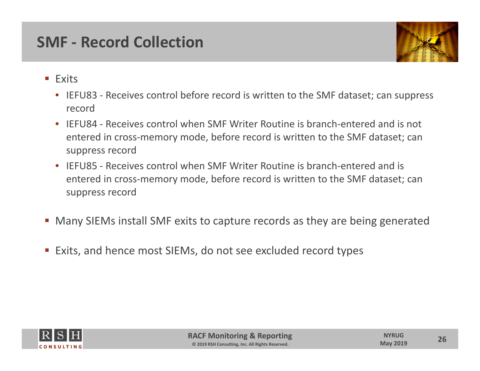#### **SMF ‐ Record Collection**



- **Exits** 
	- IEFU83 ‐ Receives control before record is written to the SMF dataset; can suppress record
	- IEFU84 ‐ Receives control when SMF Writer Routine is branch‐entered and is not entered in cross‐memory mode, before record is written to the SMF dataset; can suppress record
	- IEFU85 ‐ Receives control when SMF Writer Routine is branch‐entered and is entered in cross‐memory mode, before record is written to the SMF dataset; can suppress record
- Many SIEMs install SMF exits to capture records as they are being generated
- Exits, and hence most SIEMs, do not see excluded record types

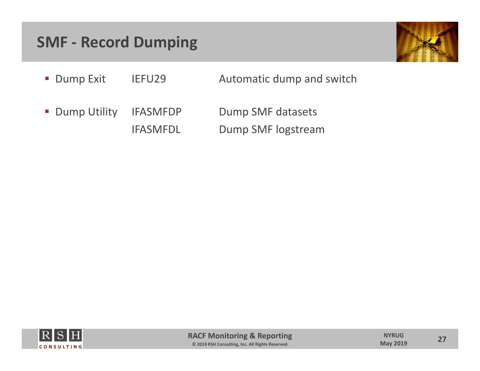#### **SMF ‐ Record Dumping**



- **Dump Exit** IEFU29 Automatic dump and switch
- **Dump Utility** IFASMFDP Dump SMF datasets IFASMFDL Dump SMF logstream

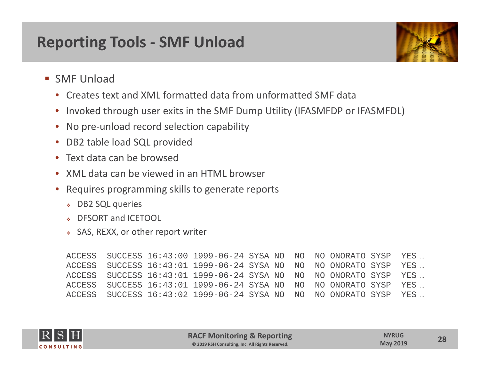## **Reporting Tools ‐ SMF Unload**



- **SMF Unload** 
	- •Creates text and XML formatted data from unformatted SMF data
	- •• Invoked through user exits in the SMF Dump Utility (IFASMFDP or IFASMFDL)
	- •● No pre-unload record selection capability
	- •• DB2 table load SQL provided
	- Text data can be browsed
	- •XML data can be viewed in an HTML browser
	- • Requires programming skills to generate reports
		- DB2 SQL queries
		- ٠ DFSORT and ICETOOL
		- SAS, REXX, or other report writer

```
ACCESS SUCCESS 16:43:00 1999-06-24 SYSA NO NO
                                               NO ONORATO SYSP YES ...
ACCESS SUCCESS 16:43:01 1999-06-24 SYSA NO NO NO ONORATO SYSP
                                                                YES …
ACCESS SUCCESS 16:43:01 1999-06-24 SYSA NO NO
                                               NO ONORATO SYSP YES ...
ACCESS SUCCESS 16:43:01 1999-06-24 SYSA NO NO
                                               NO ONORATO SYSP YES ...
ACCESS SUCCESS 16:43:02 1999-06-24 SYSA NO NO NO ONORATO SYSP
                                                                YES …
```
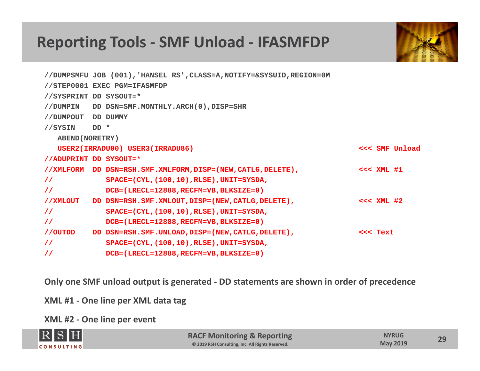#### **Reporting Tools ‐ SMF Unload ‐ IFASMFDP**



|                        |      | //DUMPSMFU JOB (001), 'HANSEL RS', CLASS=A, NOTIFY=&SYSUID, REGION=0M |               |                |
|------------------------|------|-----------------------------------------------------------------------|---------------|----------------|
|                        |      | //STEP0001 EXEC PGM=IFASMFDP                                          |               |                |
| //SYSPRINT DD SYSOUT=* |      |                                                                       |               |                |
| //DUMPIN               |      | DD DSN=SMF.MONTHLY.ARCH(0), DISP=SHR                                  |               |                |
| //DUMPOUT              |      | DD DUMMY                                                              |               |                |
| //SYSIN                | DD * |                                                                       |               |                |
| <b>ABEND (NORETRY)</b> |      |                                                                       |               |                |
|                        |      | USER2(IRRADU00) USER3(IRRADU86)                                       |               | <<< SMF Unload |
| //ADUPRINT DD SYSOUT=* |      |                                                                       |               |                |
|                        |      | //XMLFORM DD DSN=RSH.SMF.XMLFORM, DISP=(NEW, CATLG, DELETE),          | $<<$ XML $#1$ |                |
| $\frac{1}{2}$          |      | SPACE=(CYL, (100, 10), RLSE), UNIT=SYSDA,                             |               |                |
| $\frac{1}{2}$          |      | DCB=(LRECL=12888, RECFM=VB, BLKSIZE=0)                                |               |                |
| //XMLOUT               |      | DD DSN=RSH.SMF.XMLOUT, DISP=(NEW, CATLG, DELETE),                     | $<<$ XML $#2$ |                |
| $\frac{1}{2}$          |      | $SPACE = (CYL, (100, 10), RLSE), UNIT = SYSDA,$                       |               |                |
| $\prime\prime$         |      | DCB=(LRECL=12888, RECFM=VB, BLKSIZE=0)                                |               |                |
| //OUTDD                |      | DD DSN=RSH.SMF.UNLOAD, DISP=(NEW, CATLG, DELETE),                     | <<< Text      |                |
| $\frac{1}{2}$          |      | SPACE=(CYL, (100, 10), RLSE), UNIT=SYSDA,                             |               |                |
| $\frac{1}{2}$          |      | DCB=(LRECL=12888, RECFM=VB, BLKSIZE=0)                                |               |                |

**Only one SMF unload output is generated ‐ DD statements are shown in order of precedence**

**XML #1 ‐ One line per XML data tag**

**XML #2 ‐ One line per event**

| RSH               | <b>RACF Monitoring &amp; Reporting</b>           | <b>NYRUG</b>    | $\mathbf{C}$ |
|-------------------|--------------------------------------------------|-----------------|--------------|
| <b>CONSULTING</b> | © 2019 RSH Consulting, Inc. All Rights Reserved. | <b>May 2019</b> |              |
|                   |                                                  |                 |              |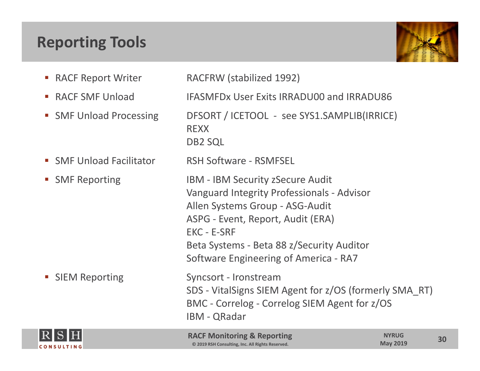# **Reporting Tools**



- **RACF**
- RACF
- SMF Unload
- **SMF Unload Facilitator FRSH**
- **SMF Reporting**

RACFRW (stabilized 1992)

SMF Unload IFASMFDx User Exits IRRADU00 and IRRADU86

DFSORT / ICETOOL - see SYS1.SAMPLIB(IRRICE) REXXDB2 SQL

RSH Software - RSMFSEL IBM - IBM Security zSecure Audit Vanguard Integrity Professionals ‐ Advisor Allen Systems Group ‐ ASG‐Audit ASPG ‐ Event, Report, Audit (ERA) EKC ‐ E‐SRF

Beta Systems ‐ Beta 88 z/Security Auditor

Software Engineering of America ‐ RA7 **SIEM Reporting** Syncsort - Ironstream SDS ‐ VitalSigns SIEM Agent for z/OS (formerly SMA\_RT) BMC ‐ Correlog ‐ Correlog SIEM Agent for z/OS IBM ‐ QRadar



 $\overline{\phantom{a}}$ 

**RACF Monitoring & Reporting © 2019 RSH Consulting, Inc. All Rights Reserved.**

**30**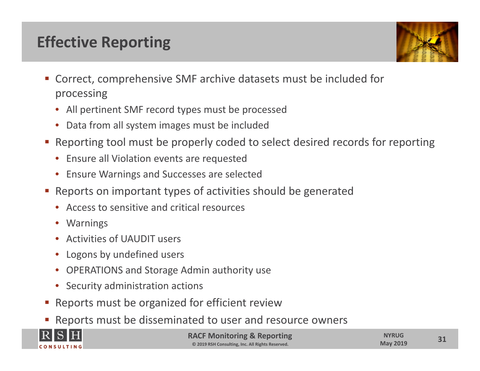# **Effective Reporting**



- Correct, comprehensive SMF archive datasets must be included for processing
	- All pertinent SMF record types must be processed
	- Data from all system images must be included
- Reporting tool must be properly coded to select desired records for reporting
	- Ensure all Violation events are requested
	- Ensure Warnings and Successes are selected
- Reports on important types of activities should be generated
	- Access to sensitive and critical resources
	- Warnings
	- •Activities of UAUDIT users
	- •Logons by undefined users
	- •OPERATIONS and Storage Admin authority use
	- Security administration actions
- **-** Reports must be organized for efficient review
- Reports must be disseminated to user and resource owners



**RACF Monitoring & Reporting © 2019 RSH Consulting, Inc. All Rights Reserved.**